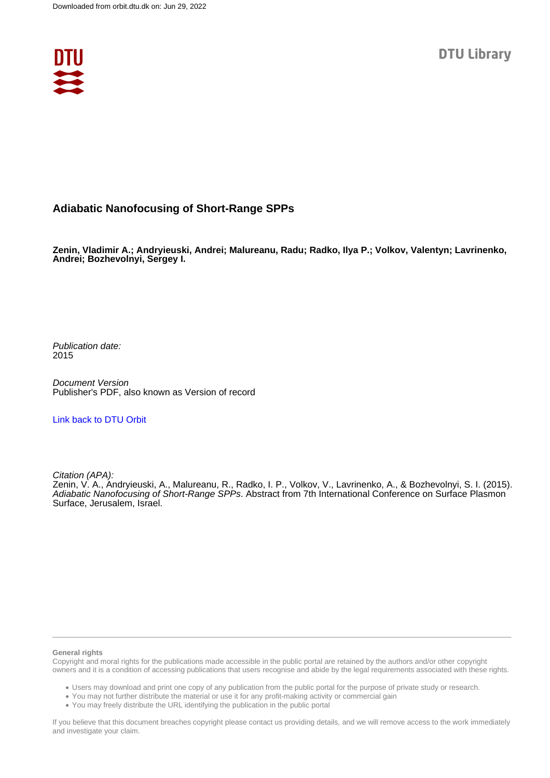

## **Adiabatic Nanofocusing of Short-Range SPPs**

**Zenin, Vladimir A.; Andryieuski, Andrei; Malureanu, Radu; Radko, Ilya P.; Volkov, Valentyn; Lavrinenko, Andrei; Bozhevolnyi, Sergey I.**

Publication date: 2015

Document Version Publisher's PDF, also known as Version of record

[Link back to DTU Orbit](https://orbit.dtu.dk/en/publications/f7a73d42-52ee-4b20-8cf0-cd3f3a958c04)

Citation (APA):

Zenin, V. A., Andryieuski, A., Malureanu, R., Radko, I. P., Volkov, V., Lavrinenko, A., & Bozhevolnyi, S. I. (2015). Adiabatic Nanofocusing of Short-Range SPPs. Abstract from 7th International Conference on Surface Plasmon Surface, Jerusalem, Israel.

## **General rights**

Copyright and moral rights for the publications made accessible in the public portal are retained by the authors and/or other copyright owners and it is a condition of accessing publications that users recognise and abide by the legal requirements associated with these rights.

Users may download and print one copy of any publication from the public portal for the purpose of private study or research.

- You may not further distribute the material or use it for any profit-making activity or commercial gain
- You may freely distribute the URL identifying the publication in the public portal

If you believe that this document breaches copyright please contact us providing details, and we will remove access to the work immediately and investigate your claim.